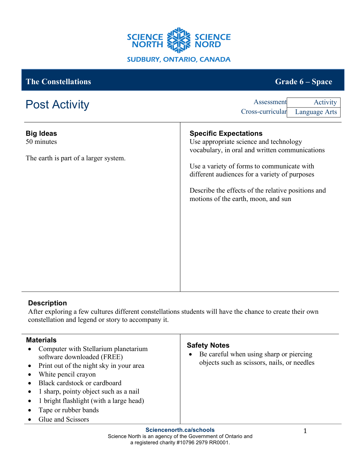

| <b>The Constellations</b>                                               | Grade 6 – Space                                                                                                                                                                                                                                                                                                      |
|-------------------------------------------------------------------------|----------------------------------------------------------------------------------------------------------------------------------------------------------------------------------------------------------------------------------------------------------------------------------------------------------------------|
| <b>Post Activity</b>                                                    | Assessment<br>Activity<br>Cross-curricular<br>Language Arts                                                                                                                                                                                                                                                          |
| <b>Big Ideas</b><br>50 minutes<br>The earth is part of a larger system. | <b>Specific Expectations</b><br>Use appropriate science and technology<br>vocabulary, in oral and written communications<br>Use a variety of forms to communicate with<br>different audiences for a variety of purposes<br>Describe the effects of the relative positions and<br>motions of the earth, moon, and sun |

## **Description**

After exploring a few cultures different constellations students will have the chance to create their own constellation and legend or story to accompany it.

| <b>Materials</b>                                                                                                               |                                                                                                                                                                     |                                                                                                                            |
|--------------------------------------------------------------------------------------------------------------------------------|---------------------------------------------------------------------------------------------------------------------------------------------------------------------|----------------------------------------------------------------------------------------------------------------------------|
| software downloaded (FREE)<br>White pencil crayon<br>Black cardstock or cardboard<br>Tape or rubber bands<br>Glue and Scissors | Computer with Stellarium planetarium<br>Print out of the night sky in your area<br>1 sharp, pointy object such as a nail<br>1 bright flashlight (with a large head) | <b>Safety Notes</b><br>Be careful when using sharp or piercing<br>$\bullet$<br>objects such as scissors, nails, or needles |
|                                                                                                                                |                                                                                                                                                                     |                                                                                                                            |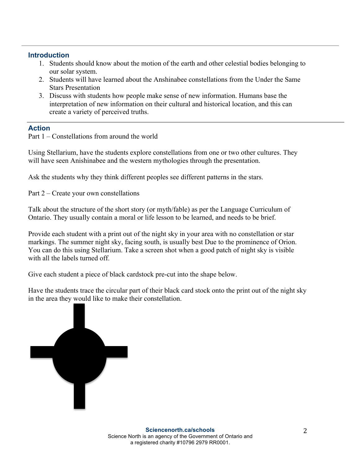## **Introduction**

- 1. Students should know about the motion of the earth and other celestial bodies belonging to our solar system.
- 2. Students will have learned about the Anshinabee constellations from the Under the Same Stars Presentation
- 3. Discuss with students how people make sense of new information. Humans base the interpretation of new information on their cultural and historical location, and this can create a variety of perceived truths.

## **Action**

Part 1 – Constellations from around the world

Using Stellarium, have the students explore constellations from one or two other cultures. They will have seen Anishinabee and the western mythologies through the presentation.

Ask the students why they think different peoples see different patterns in the stars.

Part 2 – Create your own constellations

Talk about the structure of the short story (or myth/fable) as per the Language Curriculum of Ontario. They usually contain a moral or life lesson to be learned, and needs to be brief.

Provide each student with a print out of the night sky in your area with no constellation or star markings. The summer night sky, facing south, is usually best Due to the prominence of Orion. You can do this using Stellarium. Take a screen shot when a good patch of night sky is visible with all the labels turned off.

Give each student a piece of black cardstock pre-cut into the shape below.

Have the students trace the circular part of their black card stock onto the print out of the night sky in the area they would like to make their constellation.